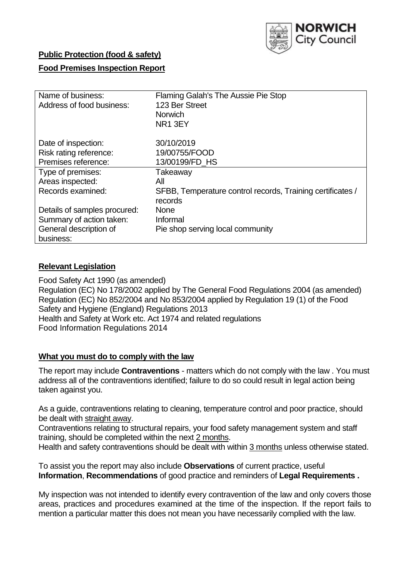

## **Public Protection (food & safety)**

### **Food Premises Inspection Report**

| Name of business:            | Flaming Galah's The Aussie Pie Stop                        |
|------------------------------|------------------------------------------------------------|
| Address of food business:    | 123 Ber Street                                             |
|                              | <b>Norwich</b>                                             |
|                              | NR <sub>1</sub> 3EY                                        |
| Date of inspection:          | 30/10/2019                                                 |
| Risk rating reference:       | 19/00755/FOOD                                              |
| Premises reference:          | 13/00199/FD_HS                                             |
| Type of premises:            | Takeaway                                                   |
| Areas inspected:             | All                                                        |
| Records examined:            | SFBB, Temperature control records, Training certificates / |
|                              | records                                                    |
| Details of samples procured: | <b>None</b>                                                |
| Summary of action taken:     | Informal                                                   |
| General description of       | Pie shop serving local community                           |
| business:                    |                                                            |

#### **Relevant Legislation**

Food Safety Act 1990 (as amended) Regulation (EC) No 178/2002 applied by The General Food Regulations 2004 (as amended) Regulation (EC) No 852/2004 and No 853/2004 applied by Regulation 19 (1) of the Food Safety and Hygiene (England) Regulations 2013 Health and Safety at Work etc. Act 1974 and related regulations Food Information Regulations 2014

#### **What you must do to comply with the law**

The report may include **Contraventions** - matters which do not comply with the law . You must address all of the contraventions identified; failure to do so could result in legal action being taken against you.

As a guide, contraventions relating to cleaning, temperature control and poor practice, should be dealt with straight away.

Contraventions relating to structural repairs, your food safety management system and staff training, should be completed within the next 2 months.

Health and safety contraventions should be dealt with within 3 months unless otherwise stated.

To assist you the report may also include **Observations** of current practice, useful **Information**, **Recommendations** of good practice and reminders of **Legal Requirements .**

My inspection was not intended to identify every contravention of the law and only covers those areas, practices and procedures examined at the time of the inspection. If the report fails to mention a particular matter this does not mean you have necessarily complied with the law.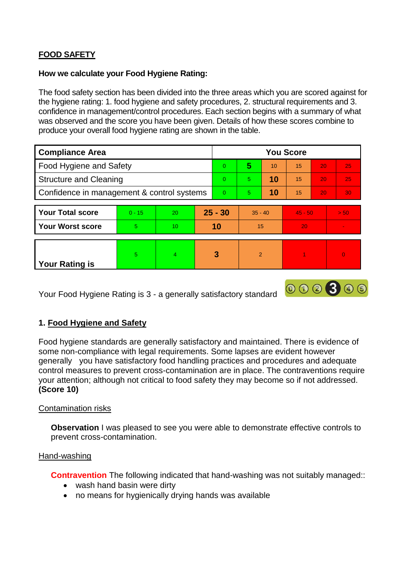# **FOOD SAFETY**

### **How we calculate your Food Hygiene Rating:**

The food safety section has been divided into the three areas which you are scored against for the hygiene rating: 1. food hygiene and safety procedures, 2. structural requirements and 3. confidence in management/control procedures. Each section begins with a summary of what was observed and the score you have been given. Details of how these scores combine to produce your overall food hygiene rating are shown in the table.

| <b>Compliance Area</b>                     |          |                |           | <b>You Score</b> |                |    |           |    |                 |  |  |
|--------------------------------------------|----------|----------------|-----------|------------------|----------------|----|-----------|----|-----------------|--|--|
| Food Hygiene and Safety                    |          |                |           | $\Omega$         | 5              | 10 | 15        | 20 | 25              |  |  |
| <b>Structure and Cleaning</b>              |          |                |           | $\Omega$         | 5              | 10 | 15        | 20 | 25              |  |  |
| Confidence in management & control systems |          |                |           | $\Omega$         | 5              | 10 | 15        | 20 | 30 <sub>1</sub> |  |  |
|                                            |          |                |           |                  |                |    |           |    |                 |  |  |
| <b>Your Total score</b>                    | $0 - 15$ | 20             | $25 - 30$ |                  | $35 - 40$      |    | $45 - 50$ |    | > 50            |  |  |
| <b>Your Worst score</b>                    | 5        | 10             | 10        |                  | 15             |    | 20        |    | ÷               |  |  |
|                                            |          |                |           |                  |                |    |           |    |                 |  |  |
| <b>Your Rating is</b>                      | 5        | $\overline{4}$ | 3         |                  | $\overline{2}$ |    |           |    | $\overline{0}$  |  |  |

Your Food Hygiene Rating is 3 - a generally satisfactory standard

# **1. Food Hygiene and Safety**

Food hygiene standards are generally satisfactory and maintained. There is evidence of some non-compliance with legal requirements. Some lapses are evident however generally you have satisfactory food handling practices and procedures and adequate control measures to prevent cross-contamination are in place. The contraventions require your attention; although not critical to food safety they may become so if not addressed. **(Score 10)**

000300

### Contamination risks

**Observation** I was pleased to see you were able to demonstrate effective controls to prevent cross-contamination.

#### Hand-washing

**Contravention** The following indicated that hand-washing was not suitably managed::

- wash hand basin were dirty
- no means for hygienically drying hands was available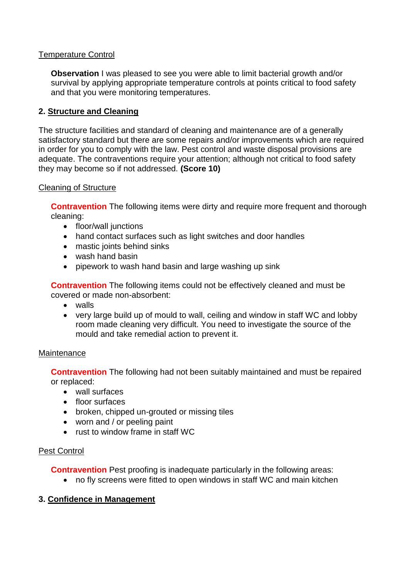## Temperature Control

**Observation** I was pleased to see you were able to limit bacterial growth and/or survival by applying appropriate temperature controls at points critical to food safety and that you were monitoring temperatures.

# **2. Structure and Cleaning**

The structure facilities and standard of cleaning and maintenance are of a generally satisfactory standard but there are some repairs and/or improvements which are required in order for you to comply with the law. Pest control and waste disposal provisions are adequate. The contraventions require your attention; although not critical to food safety they may become so if not addressed. **(Score 10)**

#### Cleaning of Structure

**Contravention** The following items were dirty and require more frequent and thorough cleaning:

- floor/wall junctions
- hand contact surfaces such as light switches and door handles
- mastic joints behind sinks
- wash hand basin
- pipework to wash hand basin and large washing up sink

**Contravention** The following items could not be effectively cleaned and must be covered or made non-absorbent:

- walls
- very large build up of mould to wall, ceiling and window in staff WC and lobby room made cleaning very difficult. You need to investigate the source of the mould and take remedial action to prevent it.

#### **Maintenance**

**Contravention** The following had not been suitably maintained and must be repaired or replaced:

- wall surfaces
- floor surfaces
- broken, chipped un-grouted or missing tiles
- worn and / or peeling paint
- rust to window frame in staff WC

### Pest Control

**Contravention** Pest proofing is inadequate particularly in the following areas:

no fly screens were fitted to open windows in staff WC and main kitchen

### **3. Confidence in Management**